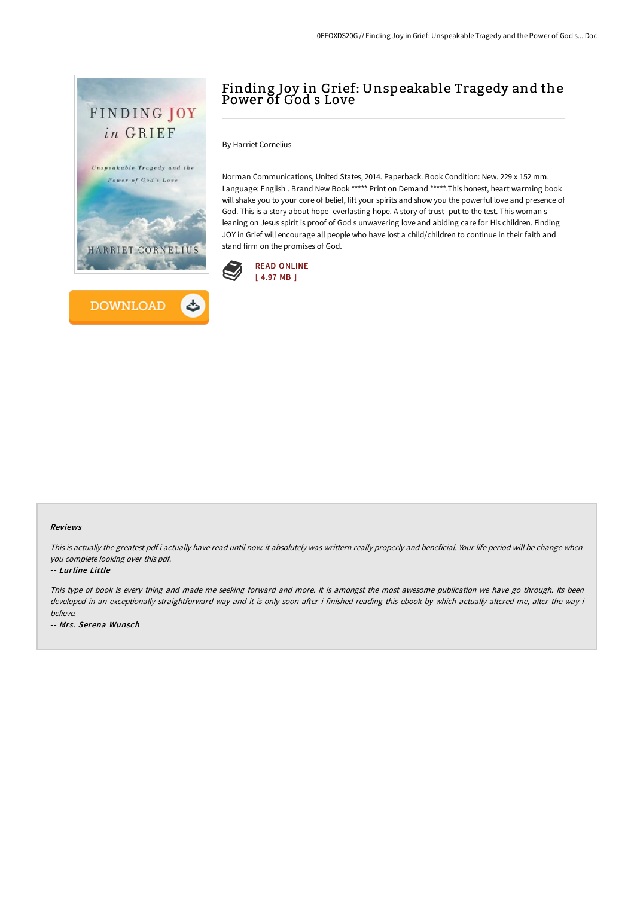



# Finding Joy in Grief: Unspeakable Tragedy and the Power of God s Love

By Harriet Cornelius

Norman Communications, United States, 2014. Paperback. Book Condition: New. 229 x 152 mm. Language: English . Brand New Book \*\*\*\*\* Print on Demand \*\*\*\*\*.This honest, heart warming book will shake you to your core of belief, lift your spirits and show you the powerful love and presence of God. This is a story about hope- everlasting hope. A story of trust- put to the test. This woman s leaning on Jesus spirit is proof of God s unwavering love and abiding care for His children. Finding JOY in Grief will encourage all people who have lost a child/children to continue in their faith and stand firm on the promises of God.



#### Reviews

This is actually the greatest pdf i actually have read until now. it absolutely was writtern really properly and beneficial. Your life period will be change when you complete looking over this pdf.

-- Lurline Little

This type of book is every thing and made me seeking forward and more. It is amongst the most awesome publication we have go through. Its been developed in an exceptionally straightforward way and it is only soon after i finished reading this ebook by which actually altered me, alter the way i believe.

-- Mrs. Serena Wunsch